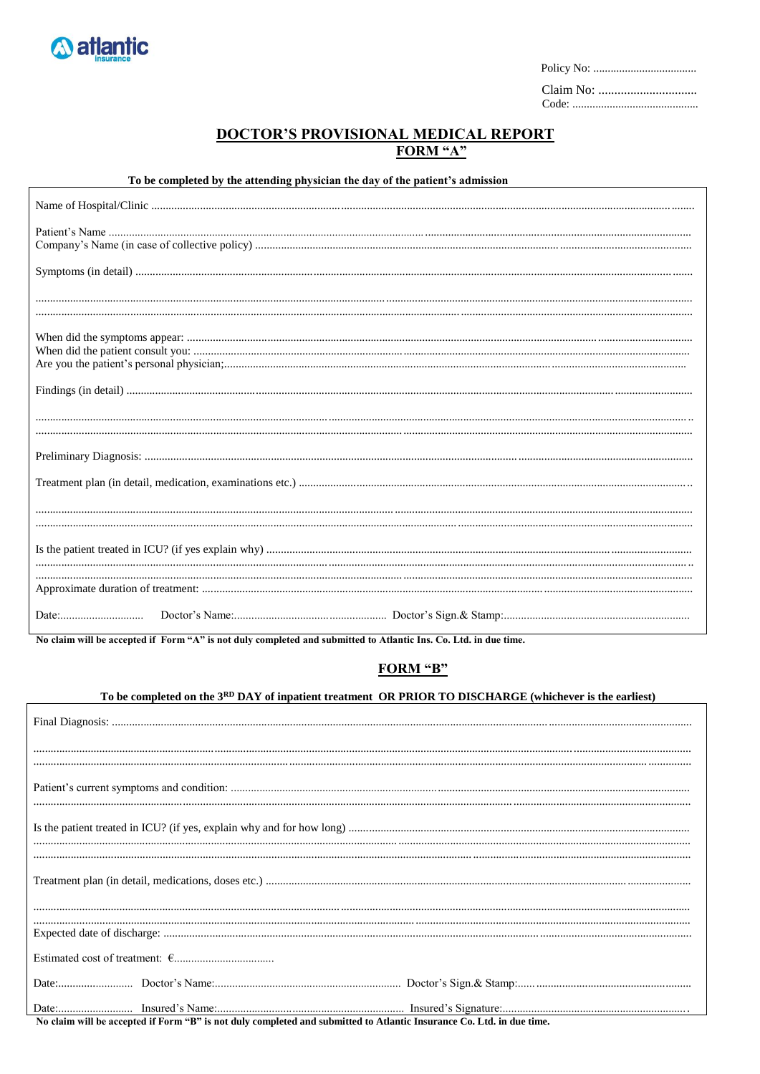

 $\mathbf{r}$ 

## DOCTOR'S PROVISIONAL MEDICAL REPORT<br>FORM "A"

To be completed by the attending physician the day of the patient's admission

No claim will be accepted if Form "A" is not duly completed and submitted to Atlantic Ins. Co. Ltd. in due time.

## FORM "B"

## To be completed on the 3RD DAY of inpatient treatment OR PRIOR TO DISCHARGE (whichever is the earliest)

| $\mathbf{m}$ $\mathbf{r}$ $\mathbf{r}$ $\mathbf{r}$ $\mathbf{r}$ $\mathbf{r}$ $\mathbf{r}$ $\mathbf{r}$ $\mathbf{r}$ $\mathbf{r}$ $\mathbf{r}$ $\mathbf{r}$ $\mathbf{r}$ $\mathbf{r}$ $\mathbf{r}$ $\mathbf{r}$ $\mathbf{r}$ $\mathbf{r}$ $\mathbf{r}$ $\mathbf{r}$ $\mathbf{r}$ $\mathbf{r}$ $\mathbf{r}$ $\mathbf{r}$ $\mathbf{$<br>. |
|-----------------------------------------------------------------------------------------------------------------------------------------------------------------------------------------------------------------------------------------------------------------------------------------------------------------------------------------|

No claim will be accepted if Form "B" is not duly completed and submitted to Atlantic Insurance Co. Ltd. in due time.